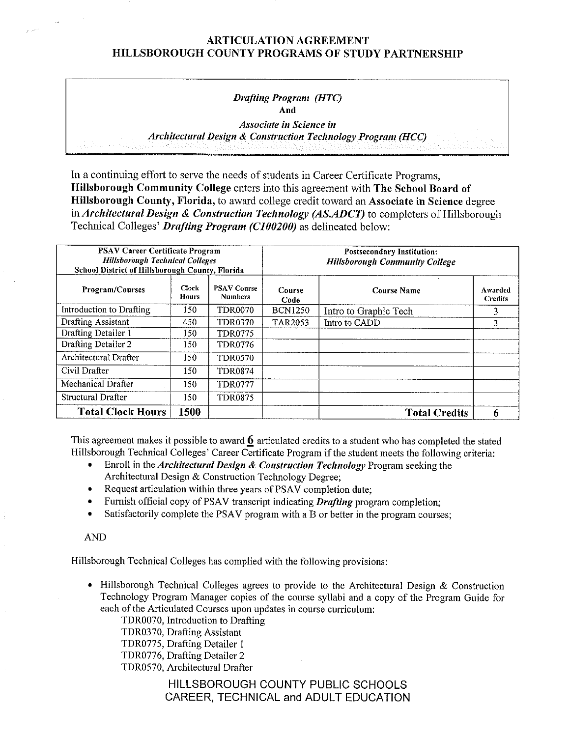#### *Drafting Program (HTC)*  **And**

*Associate ill Science in Architectural Design & Construction Technology Program (HCC)* 

In a continuing effort to serve the needs of students in Career Certificate Programs, **Hillsborough Community College** enters into this agreement with **The School Board of Hillsborough County, Florida,** to award college credit toward an **Associate in Science** degree in *Architectural Design* & *Construction Technology (AS.ADCT)* to completers of Hillsborough Technical Colleges' *Drafting Program (CJ00200)* as delineated below:

| <b>PSAV Career Certificate Program</b><br><b>Hillsborough Technical Colleges</b><br>School District of Hillsborough County, Florida |                              |                                      | <b>Postsecondary Institution:</b><br><b>Hillsborough Community College</b> |                       |                           |  |
|-------------------------------------------------------------------------------------------------------------------------------------|------------------------------|--------------------------------------|----------------------------------------------------------------------------|-----------------------|---------------------------|--|
| <b>Program/Courses</b>                                                                                                              | <b>Clock</b><br><b>Hours</b> | <b>PSAV Course</b><br><b>Numbers</b> | Course<br>Code                                                             | Course Name           | Awarded<br><b>Credits</b> |  |
| Introduction to Drafting                                                                                                            | 150                          | <b>TDR0070</b>                       | <b>BCN1250</b>                                                             | Intro to Graphic Tech | 3                         |  |
| <b>Drafting Assistant</b>                                                                                                           | 450                          | <b>TDR0370</b>                       | <b>TAR2053</b>                                                             | Intro to CADD         | 3                         |  |
| Drafting Detailer 1                                                                                                                 | 150                          | <b>TDR0775</b>                       |                                                                            |                       |                           |  |
| Drafting Detailer 2                                                                                                                 | 150                          | <b>TDR0776</b>                       |                                                                            |                       |                           |  |
| Architectural Drafter                                                                                                               | 150                          | <b>TDR0570</b>                       |                                                                            |                       |                           |  |
| Civil Drafter                                                                                                                       | 150                          | <b>TDR0874</b>                       |                                                                            |                       |                           |  |
| Mechanical Drafter                                                                                                                  | 150                          | <b>TDR0777</b>                       |                                                                            |                       |                           |  |
| Structural Drafter                                                                                                                  | 150                          | <b>TDR0875</b>                       |                                                                            |                       |                           |  |
| <b>Total Clock Hours</b>                                                                                                            | 1500                         |                                      |                                                                            | <b>Total Credits</b>  |                           |  |

This agreement makes it possible to award **6** articulated credits to a student who has completed the stated Hillsborough Technical Colleges' Career Certificate Program if the student meets the following criteria:

- Enroll in the *Architectural Design & Construction Technology* Program seeking the Architectural Design & Construction Technology Degree;
- Request articulation within three years of PSAV completion date;
- Furnish official copy of PSAV transcript indicating *Drafting* program completion;
- Satisfactorily complete the PSAV program with a B or better in the program courses;

### AND

Hillsborough Technical Colleges has complied with the following provisions:

• Hillsborough Technical Colleges agrees to provide to the Architectural Design & Construction Technology Program Manager copies of the course syllabi and a copy of the Program Guide for each of the Articulated Courses upon updates in course curriculum:

TDR0070, Introduction to Drafting

TDR0370, Drafting Assistant

TDR0775, Drafting Detailer 1

TDR0776, Drafting Detailer 2

TDR0S70, Architectural Drafter

HILLSBOROUGH COUNTY PUBLIC SCHOOLS CAREER, TECHNICAL and ADULT EDUCATION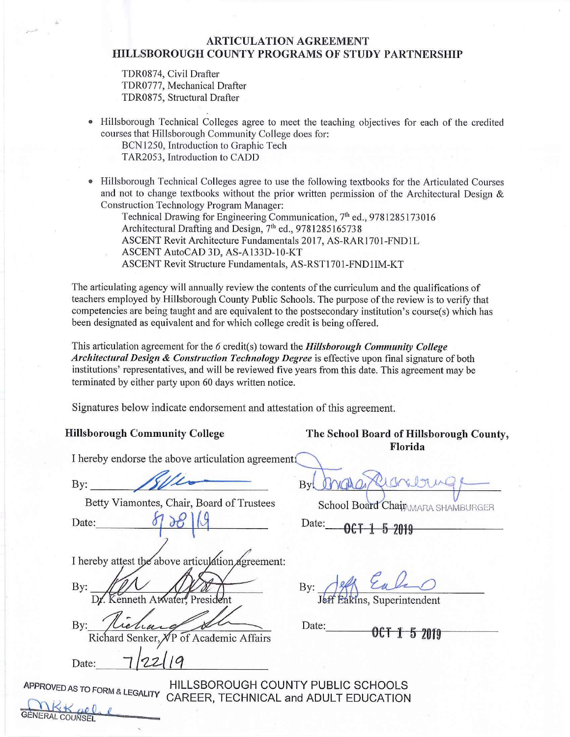TDR0874, Civil Drafter TDR0777, Mechanical Drafter TDR0875, Structural Drafter

- Hillsborough Technical Colleges agree to meet the teaching objectives for each of the credited courses that Hillsborough Community College does for: BCN1250, Introduction to Graphic Tech
	- TAR2053, Introduction to CADD
- Hillsborough Technical Colleges agree to use the following textbooks for the Articulated Courses and not to change textbooks without the prior written permission of the Architectural Design & Construction Technology Program Manager:

Technical Drawing for Engineering Communication, 7<sup>th</sup> ed., 9781285173016 Architectural Drafting and Design,  $7<sup>th</sup>$  ed., 9781285165738 ASCENT Revit Architecture Fundamentals 2017, AS-RARl 701-FNDlL ASCENT AutoCAD 3D, AS-Al33D-10-KT ASCENT Revit Structure Fundamentals, AS-RST1701 -FND1IM-KT

The articulating agency will annually review the contents of the curriculum and the qualifications of teachers employed by Hillsborough County Public Schools. The purpose ofthe review is to verify that competencies are being taught and are equivalent to the postsecondary institution's course(s) which has been designated as equivalent and for which college credit is being offered.

This articulation agreement for the 6 credit(s) toward the *Hillsborough Community College Architectural Design* & *Construction Technology Degree* is effective upon final signature of both institutions' representatives, and will be reviewed five years from this date. This agreement may be terminated by either party upon 60 days written notice.

Signatures below indicate endorsement and attestation of this agreement.

I hereby endorse the above articulation agreements

By By WYGAD CLOVED UNITY RELATED BETTY VIA CHANGER<br>Date: 57 38 14<br>Date: Date: 06 1 5 2019

eby attest the above articulation agreement:<br>Dr. Kenneth Atwater, President By:  $By:$ 

Richard Senker, NP of Academic Affai<br>Date: 7/22/19

APPROVED AS TO FORM & LEGALITY HILLSBOROUGH COUNTY PUBLIC SCHOOLS CAREER, TECHNICAL and ADULT EDUCATION GENERAL COUNSEL **(COUNSEL )** 

**Hillsborough Community College The School Board of Hillsborough County, Florida** 

**By:** . ~• . **Bi-,-+~---***@i~* 

Betty Viamontes, Chair, Board of Trustees School Board Chaip, MARA SHAMBURGER

J **6#J**  elf Eule

By: The hand Senker, NP of Academic Affairs Date: 0CT 1 5 2019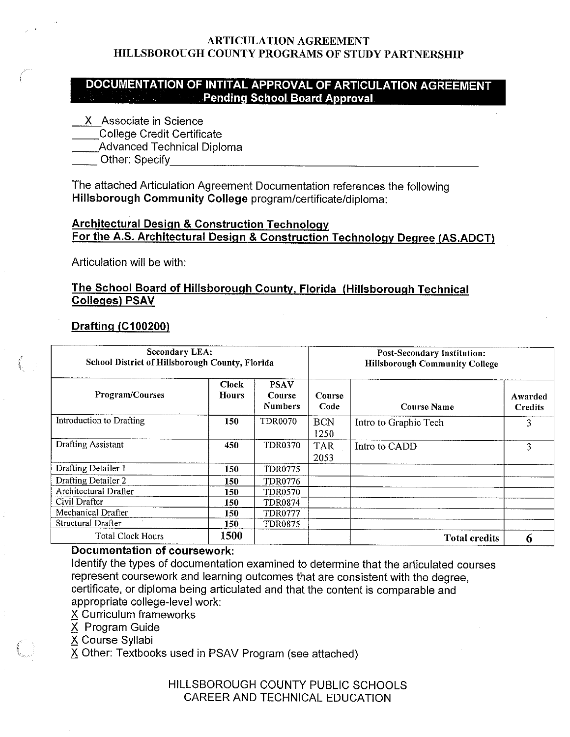# **DOCUMENTATION OF INTITAL APPROVAL OF ARTICULATION AGREEMENT Pending School Board Approval**

X Associate in Science

\_\_College Credit Certificate

\_\_\_\_\_College Credit Certificate<br>\_\_\_\_\_Advanced Technical Diploma

\_\_ Other: Specify\_\_\_\_\_\_\_\_\_\_\_\_\_\_\_\_\_\_\_\_\_\_

The attached Articulation Agreement Documentation references the following **Hillsborough Community College** program/certificate/diploma:

# **Architectural Design** & **Construction Technology For the A.S. Architectural Design** & **Construction Technology Degree (AS.ADCT)**

Articulation will be with:

# **The School Board of Hillsborough County, Florida (Hillsborough Technical Colleges) PSAV**

# **Drafting (C100200)**

| <b>Secondary LEA:</b><br>School District of Hillsborough County, Florida |                       |                                         |                    | <b>Post-Secondary Institution:</b><br><b>Hillsborough Community College</b> |                           |  |  |
|--------------------------------------------------------------------------|-----------------------|-----------------------------------------|--------------------|-----------------------------------------------------------------------------|---------------------------|--|--|
| Program/Courses                                                          | Clock<br><b>Hours</b> | <b>PSAV</b><br>Course<br><b>Numbers</b> | Course<br>Code     | <b>Course Name</b>                                                          | Awarded<br><b>Credits</b> |  |  |
| Introduction to Drafting                                                 | 150                   | <b>TDR0070</b>                          | <b>BCN</b><br>1250 | Intro to Graphic Tech                                                       | 3                         |  |  |
| <b>Drafting Assistant</b>                                                | 450                   | <b>TDR0370</b>                          | <b>TAR</b><br>2053 | Intro to CADD                                                               | 3                         |  |  |
| Drafting Detailer 1                                                      | 150                   | <b>TDR0775</b>                          |                    |                                                                             |                           |  |  |
| Drafting Detailer 2                                                      | 150                   | TDR0776                                 |                    |                                                                             |                           |  |  |
| <b>Architectural Drafter</b>                                             | 150                   | <b>TDR0570</b>                          |                    |                                                                             |                           |  |  |
| Civil Drafter                                                            | 150                   | TDR0874                                 |                    |                                                                             |                           |  |  |
| Mechanical Drafter                                                       | 150.                  | <b>TDR0777</b>                          |                    |                                                                             |                           |  |  |
| Structural Drafter                                                       | 150                   | <b>TDR0875</b>                          |                    |                                                                             |                           |  |  |
| <b>Total Clock Hours</b>                                                 | 1500                  |                                         |                    | <b>Total credits</b>                                                        |                           |  |  |

# **Documentation of coursework:**

Identify the types of documentation examined to determine that the articulated courses represent coursework and learning outcomes that are consistent with the degree, certificate, or diploma being articulated and that the content is comparable and appropriate college-level work:

- *2S* Curriculum frameworks
- *2S* Program Guide

*2S* Course Syllabi

 $\overline{X}$  Other: Textbooks used in PSAV Program (see attached)

HILLSBOROUGH COUNTY PUBLIC SCHOOLS CAREER AND TECHNICAL EDUCATION